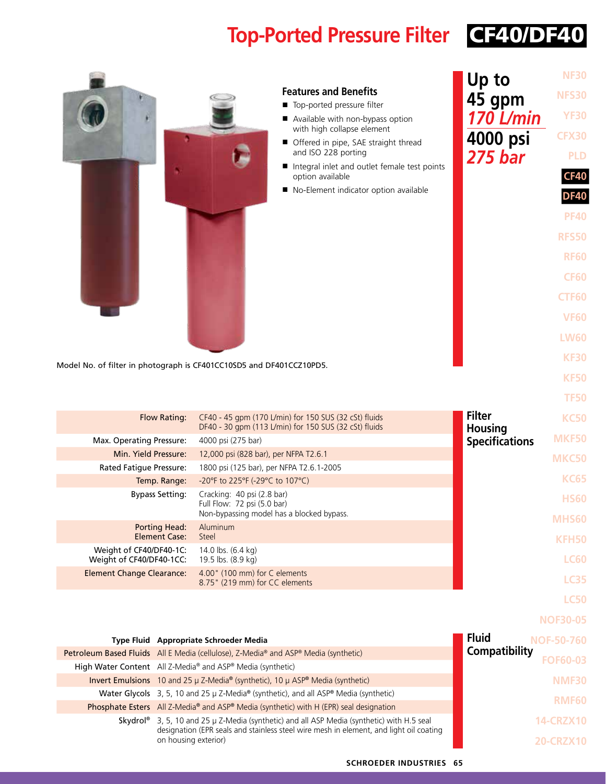# **Top-Ported Pressure Filter** CF40/DF40

| Model No. of filter in photograph is CF401CC10SD5 and DF401CCZ10PD5. | <b>Features and Benefits</b><br>Top-ported pressure filter<br>Available with non-bypass option<br>with high collapse element<br>Offered in pipe, SAE straight thread<br>and ISO 228 porting<br>Integral inlet and outlet female test points<br>option available<br>No-Element indicator option available | Up to<br>45 gpm<br>170 L/min<br>4000 psi<br><b>275 bar</b> | <b>NF30</b><br><b>NFS30</b><br><b>YF30</b><br><b>CFX30</b><br><b>PLD</b><br><b>CF40</b><br><b>DF40</b><br><b>PF40</b><br><b>RFS50</b><br><b>RF60</b><br><b>CF60</b><br><b>CTF60</b><br><b>VF60</b><br><b>LW60</b><br><b>KF30</b><br><b>KF50</b><br><b>TF50</b> |
|----------------------------------------------------------------------|----------------------------------------------------------------------------------------------------------------------------------------------------------------------------------------------------------------------------------------------------------------------------------------------------------|------------------------------------------------------------|----------------------------------------------------------------------------------------------------------------------------------------------------------------------------------------------------------------------------------------------------------------|
| <b>Flow Rating:</b>                                                  | CF40 - 45 gpm (170 L/min) for 150 SUS (32 cSt) fluids<br>DF40 - 30 gpm (113 L/min) for 150 SUS (32 cSt) fluids                                                                                                                                                                                           | <b>Filter</b><br><b>Housing</b>                            | <b>KC50</b>                                                                                                                                                                                                                                                    |
| Max. Operating Pressure:                                             | 4000 psi (275 bar)                                                                                                                                                                                                                                                                                       | <b>Specifications</b>                                      | <b>MKF50</b>                                                                                                                                                                                                                                                   |
| Min. Yield Pressure:                                                 | 12,000 psi (828 bar), per NFPA T2.6.1                                                                                                                                                                                                                                                                    |                                                            | <b>MKC50</b>                                                                                                                                                                                                                                                   |
| Rated Fatigue Pressure:                                              | 1800 psi (125 bar), per NFPA T2.6.1-2005                                                                                                                                                                                                                                                                 |                                                            |                                                                                                                                                                                                                                                                |
| Temp. Range:                                                         | -20°F to 225°F (-29°C to 107°C)                                                                                                                                                                                                                                                                          |                                                            | <b>KC65</b>                                                                                                                                                                                                                                                    |
| <b>Bypass Setting:</b>                                               | Cracking: 40 psi (2.8 bar)<br>Full Flow: 72 psi (5.0 bar)<br>Non-bypassing model has a blocked bypass.                                                                                                                                                                                                   |                                                            | <b>HS60</b><br><b>MHS60</b>                                                                                                                                                                                                                                    |
| <b>Porting Head:</b><br><b>Element Case:</b>                         | Aluminum                                                                                                                                                                                                                                                                                                 |                                                            |                                                                                                                                                                                                                                                                |
| Weight of CF40/DF40-1C:                                              | Steel<br>14.0 lbs. (6.4 kg)                                                                                                                                                                                                                                                                              |                                                            | <b>KFH50</b>                                                                                                                                                                                                                                                   |
| Weight of CF40/DF40-1CC:                                             | 19.5 lbs. (8.9 kg)                                                                                                                                                                                                                                                                                       |                                                            | <b>LC60</b>                                                                                                                                                                                                                                                    |
| <b>Element Change Clearance:</b>                                     | 4.00" (100 mm) for C elements<br>8.75" (219 mm) for CC elements                                                                                                                                                                                                                                          |                                                            | <b>LC35</b>                                                                                                                                                                                                                                                    |
|                                                                      |                                                                                                                                                                                                                                                                                                          |                                                            | <b>LC50</b>                                                                                                                                                                                                                                                    |
|                                                                      |                                                                                                                                                                                                                                                                                                          |                                                            | <b>NOF30-05</b>                                                                                                                                                                                                                                                |
|                                                                      |                                                                                                                                                                                                                                                                                                          |                                                            |                                                                                                                                                                                                                                                                |
| Type Fluid Appropriate Schroeder Media                               |                                                                                                                                                                                                                                                                                                          | <b>Fluid</b><br><b>Compatibility</b>                       | <b>NOF-50-760</b>                                                                                                                                                                                                                                              |
| High Water Content All Z-Media® and ASP® Media (synthetic)           | Petroleum Based Fluids All E Media (cellulose), Z-Media® and ASP® Media (synthetic)                                                                                                                                                                                                                      |                                                            | <b>FOF60-03</b>                                                                                                                                                                                                                                                |
|                                                                      | Invert Emulsions 10 and 25 $\mu$ Z-Media® (synthetic), 10 $\mu$ ASP® Media (synthetic)                                                                                                                                                                                                                   |                                                            | <b>NMF30</b>                                                                                                                                                                                                                                                   |
|                                                                      | Water Glycols 3, 5, 10 and 25 µ Z-Media® (synthetic), and all ASP® Media (synthetic)                                                                                                                                                                                                                     |                                                            | <b>RMF60</b>                                                                                                                                                                                                                                                   |
|                                                                      | Phosphate Esters All Z-Media® and ASP® Media (synthetic) with H (EPR) seal designation                                                                                                                                                                                                                   |                                                            |                                                                                                                                                                                                                                                                |
| on housing exterior)                                                 | Skydrol <sup>®</sup> 3, 5, 10 and 25 $\mu$ Z-Media (synthetic) and all ASP Media (synthetic) with H.5 seal<br>designation (EPR seals and stainless steel wire mesh in element, and light oil coating                                                                                                     |                                                            | <b>14-CRZX10</b>                                                                                                                                                                                                                                               |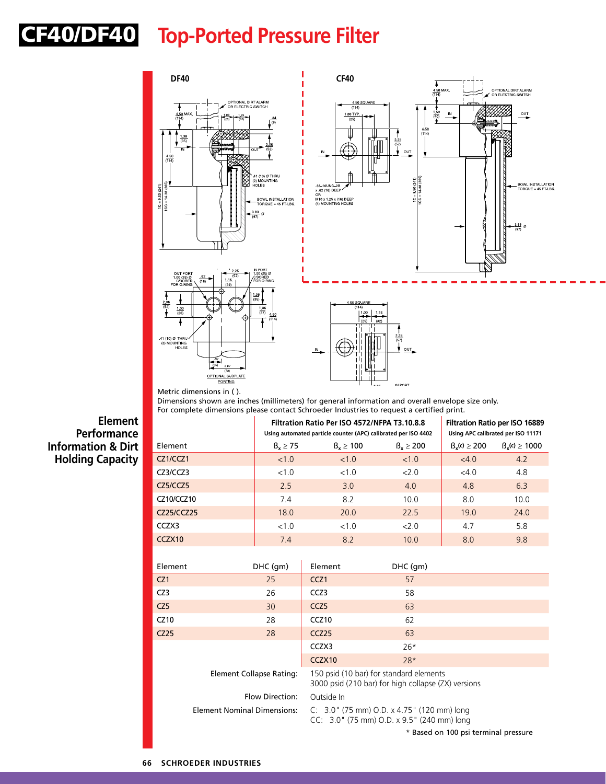# **Top-Ported Pressure Filter** CF40/DF40

 $1C = 9.50 (241)$ 



**Element Performance Information & Dirt Holding Capacity**

Dimensions shown are inches (millimeters) for general information and overall envelope size only. For complete dimensions please contact Schroeder Industries to request a certified print.

|            |                   | Filtration Ratio Per ISO 4572/NFPA T3.10.8.8<br>Using automated particle counter (APC) calibrated per ISO 4402 | <b>Filtration Ratio per ISO 16889</b><br>Using APC calibrated per ISO 11171 |                        |                         |
|------------|-------------------|----------------------------------------------------------------------------------------------------------------|-----------------------------------------------------------------------------|------------------------|-------------------------|
| Element    | $\beta_x \geq 75$ | $B_v \ge 100$                                                                                                  | $B_v \ge 200$                                                               | $\beta_{v}(c) \ge 200$ | $\beta_{v}(c) \ge 1000$ |
| CZ1/CCZ1   | < 1.0             | <1.0                                                                                                           | <1.0                                                                        | <4.0                   | 4.2                     |
| CZ3/CCZ3   | <1.0              | $<1$ $\Omega$                                                                                                  | 200                                                                         | $<$ 4.0                | 4.8                     |
| CZ5/CCZ5   | 2.5               | 3.0                                                                                                            | 4.0                                                                         | 4.8                    | 6.3                     |
| CZ10/CCZ10 | 7.4               | 8.2                                                                                                            | 10.0                                                                        | 8.0                    | 10.0                    |
| CZ25/CCZ25 | 18.0              | 20.0                                                                                                           | 225                                                                         | 19.0                   | 24.0                    |
| CCZX3      | <1.0              | <1.0                                                                                                           | 200                                                                         | 4.7                    | 5.8                     |
| CCZX10     | 7.4               | 8.2                                                                                                            | 10.0                                                                        | 8.0                    | 9.8                     |

| Element                  | DHC (gm)                                                                                                                   | Element                                                                                        | DHC (gm)                             |  |
|--------------------------|----------------------------------------------------------------------------------------------------------------------------|------------------------------------------------------------------------------------------------|--------------------------------------|--|
| CZ <sub>1</sub>          | 25                                                                                                                         | CCZ <sub>1</sub>                                                                               | 57                                   |  |
| CZ3                      | 26                                                                                                                         | CCZ3                                                                                           | 58                                   |  |
| CZ5                      | 30                                                                                                                         | CCZ <sub>5</sub>                                                                               | 63                                   |  |
| CZ10                     | 28                                                                                                                         | CCZ <sub>10</sub>                                                                              | 62                                   |  |
| CZ25                     | 28                                                                                                                         | CCZ <sub>25</sub>                                                                              | 63                                   |  |
|                          |                                                                                                                            | CCZX3                                                                                          | $26*$                                |  |
|                          |                                                                                                                            | CCZX10                                                                                         | $28*$                                |  |
| Element Collapse Rating: |                                                                                                                            | 150 psid (10 bar) for standard elements<br>3000 psid (210 bar) for high collapse (ZX) versions |                                      |  |
| Flow Direction:          |                                                                                                                            | Outside In                                                                                     |                                      |  |
|                          | Element Nominal Dimensions:<br>$C: 3.0$ (75 mm) O.D. x 4.75 (120 mm) long<br>$CC: 3.0$ " (75 mm) O.D. x 9.5" (240 mm) long |                                                                                                |                                      |  |
|                          |                                                                                                                            |                                                                                                | * Based on 100 psi terminal pressure |  |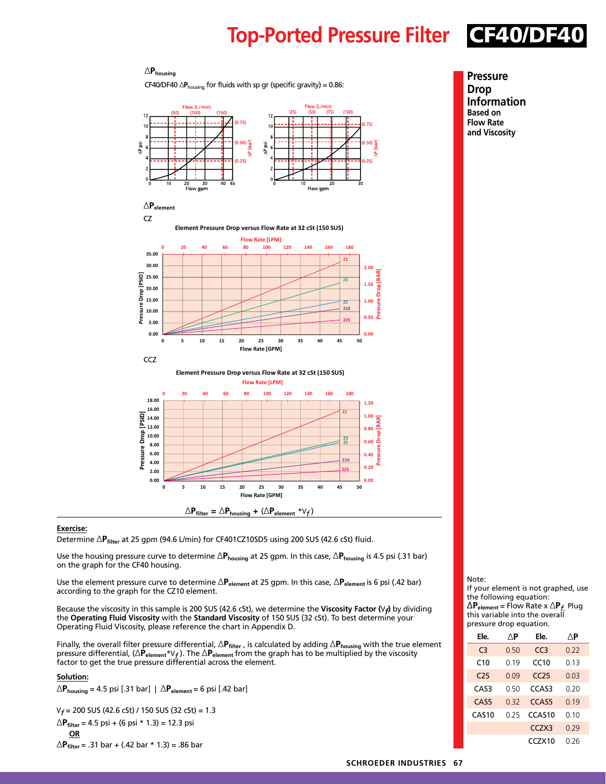## **Top-Ported Pressure Filter** CF40/DF40

### **Pressure Drop Information**

**Based on Flow Rate and Viscosity**



### ∆**Pfilter =** ∆**Phousing +** (∆**Pelement** \*V*f* )

### **Exercise:**

Determine ∆**Pfilter** at 25 gpm (94.6 L/min) for CF401CZ10SD5 using 200 SUS (42.6 cSt) fluid.

Use the housing pressure curve to determine ∆P<sub>housing</sub> at 25 gpm. In this case, ∆P<sub>housing</sub> is 4.5 psi (.31 bar) on the graph for the CF40 housing.

Use the element pressure curve to determine ∆**Pelement** at 25 gpm. In this case, ∆**Pelement** is 6 psi (.42 bar) according to the graph for the CZ10 element.

Because the viscosity in this sample is 200 SUS (42.6 cSt), we determine the **Viscosity Factor (**V*f***)** by dividing the **Operating Fluid Viscosity** with the **Standard Viscosity** of 150 SUS (32 cSt). To best determine your Operating Fluid Viscosity, please reference the chart in Appendix D.

Finally, the overall filter pressure differential, ∆**Pfilter** , is calculated by adding ∆**Phousing** with the true element pressure differential, (∆**Pelement**\*V*f* ). The ∆**Pelement** from the graph has to be multiplied by the viscosity factor to get the true pressure differential across the element.

#### **Solution:**

∆**Phousing** = 4.5 psi [.31 bar] | ∆**Pelement** = 6 psi [.42 bar]

∆**Phousing**

V*f* = 200 SUS (42.6 cSt) / 150 SUS (32 cSt) = 1.3

$$
\triangle P_{filter} = 4.5 \text{ psi} + (6 \text{ psi} * 1.3) = 12.3 \text{ psi}
$$
  
OR

∆**Pfilter** = .31 bar + (.42 bar \* 1.3) = .86 bar

#### Note:

If your element is not graphed, use the following equation: ∆**Pelement** = Flow Rate x ∆**P***f.* Plug this variable into the overall pressure drop equation.

| Ele.              | ΛP          | Ele.               | ΛP    |
|-------------------|-------------|--------------------|-------|
| $C_3$             | 0.50        | CC <sub>3</sub>    | 0.22  |
| C10               | በ 19        | CC10               | 0.13  |
| C25               | 0.09        | CC25               | 0.03  |
| CAS3              | <u>ი 50</u> | CCAS3              | 0.20  |
| CAS <sub>5</sub>  | 0.32        | CCAS5              | 0.19  |
| CAS <sub>10</sub> | በ 25        | CCAS <sub>10</sub> | 0. 10 |
|                   |             | CC <sub>7</sub> X3 | 0.29  |
|                   |             | CC7X10             | በ 26  |